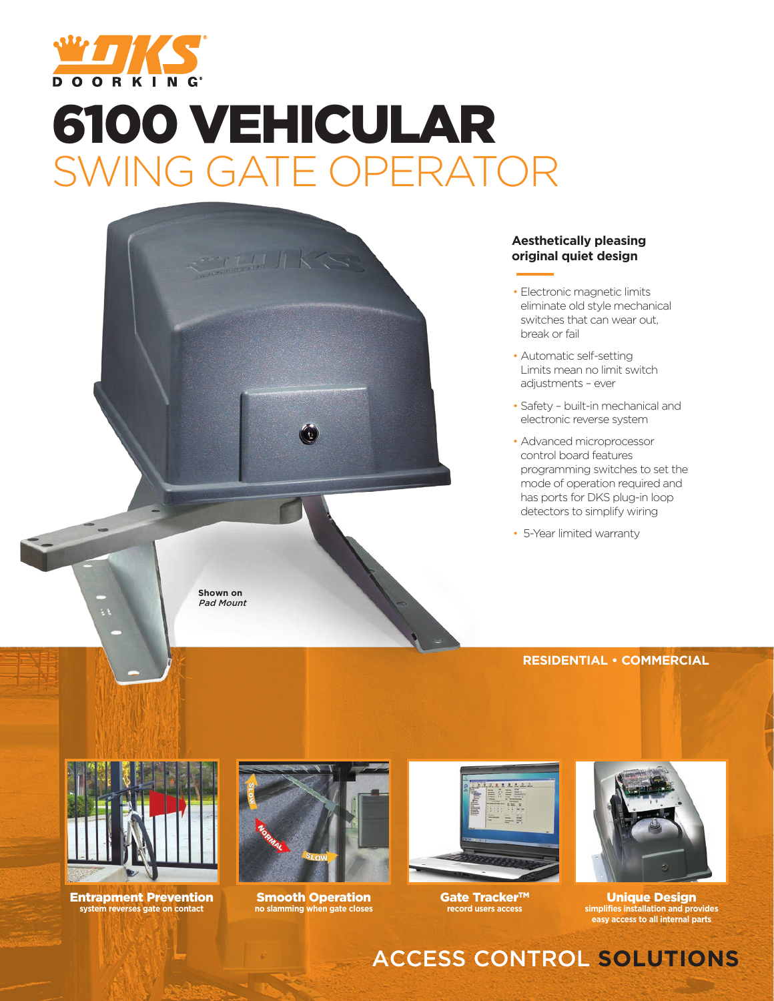

# 6100 VEHICULAR SWING GATE OPERATOR



#### **Aesthetically pleasing original quiet design**

- Electronic magnetic limits eliminate old style mechanical switches that can wear out, break or fail
- Automatic self-setting Limits mean no limit switch adjustments – ever
- Safety built-in mechanical and electronic reverse system
- Advanced microprocessor control board features programming switches to set the mode of operation required and has ports for DKS plug-in loop detectors to simplify wiring

• 5-Year limited warranty

#### **RESIDENTIAL • COMMERCIAL**



Entrapment Prevention **system reverses gate on contact**



Smooth Operation **no slamming when gate closes**



Gate Tracker™ **record users access**



Unique Design **simplifies installation and provides easy access to all internal parts**

# ACCESS CONTROL **SOLUTIONS**